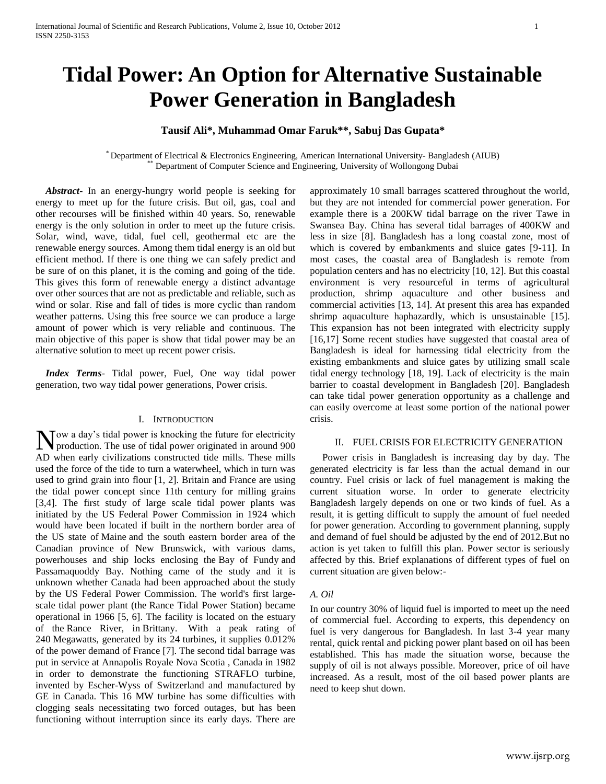# **Tidal Power: An Option for Alternative Sustainable Power Generation in Bangladesh**

# **Tausif Ali\*, Muhammad Omar Faruk\*\*, Sabuj Das Gupata\***

\* Department of Electrical & Electronics Engineering, American International University- Bangladesh (AIUB) Department of Computer Science and Engineering, University of Wollongong Dubai

 *Abstract***-** In an energy-hungry world people is seeking for energy to meet up for the future crisis. But oil, gas, coal and other recourses will be finished within 40 years. So, renewable energy is the only solution in order to meet up the future crisis. Solar, wind, wave, tidal, fuel cell, geothermal etc are the renewable energy sources. Among them tidal energy is an old but efficient method. If there is one thing we can safely predict and be sure of on this planet, it is the coming and going of the tide. This gives this form of renewable energy a distinct advantage over other sources that are not as predictable and reliable, such as wind or solar. Rise and fall of tides is more cyclic than random weather patterns. Using this free source we can produce a large amount of power which is very reliable and continuous. The main objective of this paper is show that tidal power may be an alternative solution to meet up recent power crisis.

 *Index Terms*- Tidal power, Fuel, One way tidal power generation, two way tidal power generations, Power crisis.

## I. INTRODUCTION

ow a day's tidal power is knocking the future for electricity Now a day's tidal power is knocking the future for electricity<br>production. The use of tidal power originated in around 900 AD when early civilizations constructed tide mills. These mills used the force of the tide to turn a waterwheel, which in turn was used to grind grain into flour [1, 2]. Britain and France are using the tidal power concept since 11th century for milling grains [3,4]. The first study of large scale tidal power plants was initiated by the US Federal Power Commission in 1924 which would have been located if built in the northern border area of the US state of Maine and the south eastern border area of the Canadian province of New Brunswick, with various dams, powerhouses and ship locks enclosing the Bay of Fundy and Passamaquoddy Bay. Nothing came of the study and it is unknown whether Canada had been approached about the study by the US Federal Power Commission. The world's first largescale tidal power plant (the Rance Tidal Power Station) became operational in 1966 [5, 6]. The facility is located on the estuary of the Rance River, in Brittany. With a peak rating of 240 Megawatts, generated by its 24 turbines, it supplies 0.012% of the power demand of France [7]. The second tidal barrage was put in service at Annapolis Royale Nova Scotia , Canada in 1982 in order to demonstrate the functioning STRAFLO turbine, invented by Escher-Wyss of Switzerland and manufactured by GE in Canada. This 16 MW turbine has some difficulties with clogging seals necessitating two forced outages, but has been functioning without interruption since its early days. There are

approximately 10 small barrages scattered throughout the world, but they are not intended for commercial power generation. For example there is a 200KW tidal barrage on the river Tawe in Swansea Bay. China has several tidal barrages of 400KW and less in size [8]. Bangladesh has a long coastal zone, most of which is covered by embankments and sluice gates [9-11]. In most cases, the coastal area of Bangladesh is remote from population centers and has no electricity [10, 12]. But this coastal environment is very resourceful in terms of agricultural production, shrimp aquaculture and other business and commercial activities [13, 14]. At present this area has expanded shrimp aquaculture haphazardly, which is unsustainable [15]. This expansion has not been integrated with electricity supply [16,17] Some recent studies have suggested that coastal area of Bangladesh is ideal for harnessing tidal electricity from the existing embankments and sluice gates by utilizing small scale tidal energy technology [18, 19]. Lack of electricity is the main barrier to coastal development in Bangladesh [20]. Bangladesh can take tidal power generation opportunity as a challenge and can easily overcome at least some portion of the national power crisis.

## II. FUEL CRISIS FOR ELECTRICITY GENERATION

 Power crisis in Bangladesh is increasing day by day. The generated electricity is far less than the actual demand in our country. Fuel crisis or lack of fuel management is making the current situation worse. In order to generate electricity Bangladesh largely depends on one or two kinds of fuel. As a result, it is getting difficult to supply the amount of fuel needed for power generation. According to government planning, supply and demand of fuel should be adjusted by the end of 2012.But no action is yet taken to fulfill this plan. Power sector is seriously affected by this. Brief explanations of different types of fuel on current situation are given below:-

## *A. Oil*

In our country 30% of liquid fuel is imported to meet up the need of commercial fuel. According to experts, this dependency on fuel is very dangerous for Bangladesh. In last 3-4 year many rental, quick rental and picking power plant based on oil has been established. This has made the situation worse, because the supply of oil is not always possible. Moreover, price of oil have increased. As a result, most of the oil based power plants are need to keep shut down.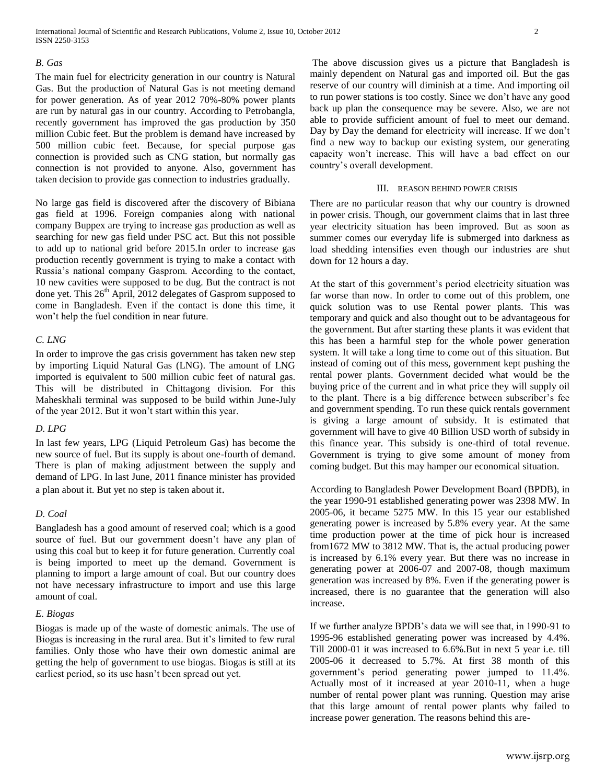# *B. Gas*

The main fuel for electricity generation in our country is Natural Gas. But the production of Natural Gas is not meeting demand for power generation. As of year 2012 70%-80% power plants are run by natural gas in our country. According to Petrobangla, recently government has improved the gas production by 350 million Cubic feet. But the problem is demand have increased by 500 million cubic feet. Because, for special purpose gas connection is provided such as CNG station, but normally gas connection is not provided to anyone. Also, government has taken decision to provide gas connection to industries gradually.

No large gas field is discovered after the discovery of Bibiana gas field at 1996. Foreign companies along with national company Buppex are trying to increase gas production as well as searching for new gas field under PSC act. But this not possible to add up to national grid before 2015.In order to increase gas production recently government is trying to make a contact with Russia's national company Gasprom. According to the contact, 10 new cavities were supposed to be dug. But the contract is not done yet. This 26<sup>th</sup> April, 2012 delegates of Gasprom supposed to come in Bangladesh. Even if the contact is done this time, it won't help the fuel condition in near future.

# *C. LNG*

In order to improve the gas crisis government has taken new step by importing Liquid Natural Gas (LNG). The amount of LNG imported is equivalent to 500 million cubic feet of natural gas. This will be distributed in Chittagong division. For this Maheskhali terminal was supposed to be build within June-July of the year 2012. But it won't start within this year.

# *D. LPG*

In last few years, LPG (Liquid Petroleum Gas) has become the new source of fuel. But its supply is about one-fourth of demand. There is plan of making adjustment between the supply and demand of LPG. In last June, 2011 finance minister has provided a plan about it. But yet no step is taken about it.

# *D. Coal*

Bangladesh has a good amount of reserved coal; which is a good source of fuel. But our government doesn't have any plan of using this coal but to keep it for future generation. Currently coal is being imported to meet up the demand. Government is planning to import a large amount of coal. But our country does not have necessary infrastructure to import and use this large amount of coal.

# *E. Biogas*

Biogas is made up of the waste of domestic animals. The use of Biogas is increasing in the rural area. But it's limited to few rural families. Only those who have their own domestic animal are getting the help of government to use biogas. Biogas is still at its earliest period, so its use hasn't been spread out yet.

The above discussion gives us a picture that Bangladesh is mainly dependent on Natural gas and imported oil. But the gas reserve of our country will diminish at a time. And importing oil to run power stations is too costly. Since we don't have any good back up plan the consequence may be severe. Also, we are not able to provide sufficient amount of fuel to meet our demand. Day by Day the demand for electricity will increase. If we don't find a new way to backup our existing system, our generating capacity won't increase. This will have a bad effect on our country's overall development.

## III. REASON BEHIND POWER CRISIS

There are no particular reason that why our country is drowned in power crisis. Though, our government claims that in last three year electricity situation has been improved. But as soon as summer comes our everyday life is submerged into darkness as load shedding intensifies even though our industries are shut down for 12 hours a day.

At the start of this government's period electricity situation was far worse than now. In order to come out of this problem, one quick solution was to use Rental power plants. This was temporary and quick and also thought out to be advantageous for the government. But after starting these plants it was evident that this has been a harmful step for the whole power generation system. It will take a long time to come out of this situation. But instead of coming out of this mess, government kept pushing the rental power plants. Government decided what would be the buying price of the current and in what price they will supply oil to the plant. There is a big difference between subscriber's fee and government spending. To run these quick rentals government is giving a large amount of subsidy. It is estimated that government will have to give 40 Billion USD worth of subsidy in this finance year. This subsidy is one-third of total revenue. Government is trying to give some amount of money from coming budget. But this may hamper our economical situation.

According to Bangladesh Power Development Board (BPDB), in the year 1990-91 established generating power was 2398 MW. In 2005-06, it became 5275 MW. In this 15 year our established generating power is increased by 5.8% every year. At the same time production power at the time of pick hour is increased from1672 MW to 3812 MW. That is, the actual producing power is increased by 6.1% every year. But there was no increase in generating power at 2006-07 and 2007-08, though maximum generation was increased by 8%. Even if the generating power is increased, there is no guarantee that the generation will also increase.

If we further analyze BPDB's data we will see that, in 1990-91 to 1995-96 established generating power was increased by 4.4%. Till 2000-01 it was increased to 6.6%.But in next 5 year i.e. till 2005-06 it decreased to 5.7%. At first 38 month of this government's period generating power jumped to 11.4%. Actually most of it increased at year 2010-11, when a huge number of rental power plant was running. Question may arise that this large amount of rental power plants why failed to increase power generation. The reasons behind this are-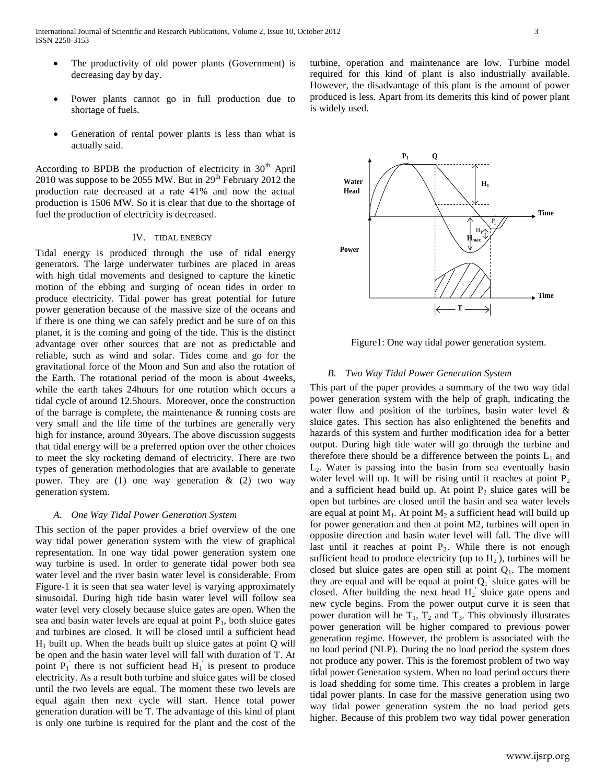- The productivity of old power plants (Government) is decreasing day by day.
- Power plants cannot go in full production due to shortage of fuels.
- Generation of rental power plants is less than what is actually said.

According to BPDB the production of electricity in  $30<sup>th</sup>$  April 2010 was suppose to be 2055 MW. But in  $29<sup>th</sup>$  February 2012 the production rate decreased at a rate 41% and now the actual production is 1506 MW. So it is clear that due to the shortage of fuel the production of electricity is decreased.

## IV. TIDAL ENERGY

Tidal energy is produced through the use of tidal energy generators. The large underwater turbines are placed in areas with high tidal movements and designed to capture the kinetic motion of the ebbing and surging of ocean tides in order to produce electricity. Tidal power has great potential for future power generation because of the massive size of the oceans and if there is one thing we can safely predict and be sure of on this planet, it is the coming and going of the tide. This is the distinct advantage over other sources that are not as predictable and reliable, such as wind and solar. Tides come and go for the gravitational force of the Moon and Sun and also the rotation of the Earth. The rotational period of the moon is about 4weeks, while the earth takes 24hours for one rotation which occurs a tidal cycle of around 12.5hours. Moreover, once the construction of the barrage is complete, the maintenance & running costs are very small and the life time of the turbines are generally very high for instance, around 30years. The above discussion suggests that tidal energy will be a preferred option over the other choices to meet the sky rocketing demand of electricity. There are two types of generation methodologies that are available to generate power. They are (1) one way generation  $\&$  (2) two way generation system.

# *A. One Way Tidal Power Generation System*

This section of the paper provides a brief overview of the one way tidal power generation system with the view of graphical representation. In one way tidal power generation system one way turbine is used. In order to generate tidal power both sea water level and the river basin water level is considerable. From Figure-1 it is seen that sea water level is varying approximately sinusoidal. During high tide basin water level will follow sea water level very closely because sluice gates are open. When the sea and basin water levels are equal at point  $P_1$ , both sluice gates and turbines are closed. It will be closed until a sufficient head  $H<sub>1</sub>$  built up. When the heads built up sluice gates at point Q will be open and the basin water level will fall with duration of T. At point  $P_1$ <sup>'</sup> there is not sufficient head  $H_1$ <sup>'</sup> is present to produce electricity. As a result both turbine and sluice gates will be closed until the two levels are equal. The moment these two levels are equal again then next cycle will start. Hence total power generation duration will be T. The advantage of this kind of plant is only one turbine is required for the plant and the cost of the

turbine, operation and maintenance are low. Turbine model required for this kind of plant is also industrially available. However, the disadvantage of this plant is the amount of power produced is less. Apart from its demerits this kind of power plant is widely used.



Figure1: One way tidal power generation system.

### *B. Two Way Tidal Power Generation System*

This part of the paper provides a summary of the two way tidal power generation system with the help of graph, indicating the water flow and position of the turbines, basin water level  $\&$ sluice gates. This section has also enlightened the benefits and hazards of this system and further modification idea for a better output. During high tide water will go through the turbine and therefore there should be a difference between the points  $L_1$  and  $L<sub>2</sub>$ . Water is passing into the basin from sea eventually basin water level will up. It will be rising until it reaches at point  $P_2$ and a sufficient head build up. At point  $P_2$  sluice gates will be open but turbines are closed until the basin and sea water levels are equal at point  $M_1$ . At point  $M_2$  a sufficient head will build up for power generation and then at point M2, turbines will open in opposite direction and basin water level will fall. The dive will last until it reaches at point  $P_2$ . While there is not enough sufficient head to produce electricity (up to  $H_2$ ), turbines will be closed but sluice gates are open still at point  $Q_1$ . The moment they are equal and will be equal at point  $Q_1$  sluice gates will be closed. After building the next head  $H_2$  sluice gate opens and new cycle begins. From the power output curve it is seen that power duration will be  $T_1$ ,  $T_2$  and  $T_3$ . This obviously illustrates power generation will be higher compared to previous power generation regime. However, the problem is associated with the no load period (NLP). During the no load period the system does not produce any power. This is the foremost problem of two way tidal power Generation system. When no load period occurs there is load shedding for some time. This creates a problem in large tidal power plants. In case for the massive generation using two way tidal power generation system the no load period gets higher. Because of this problem two way tidal power generation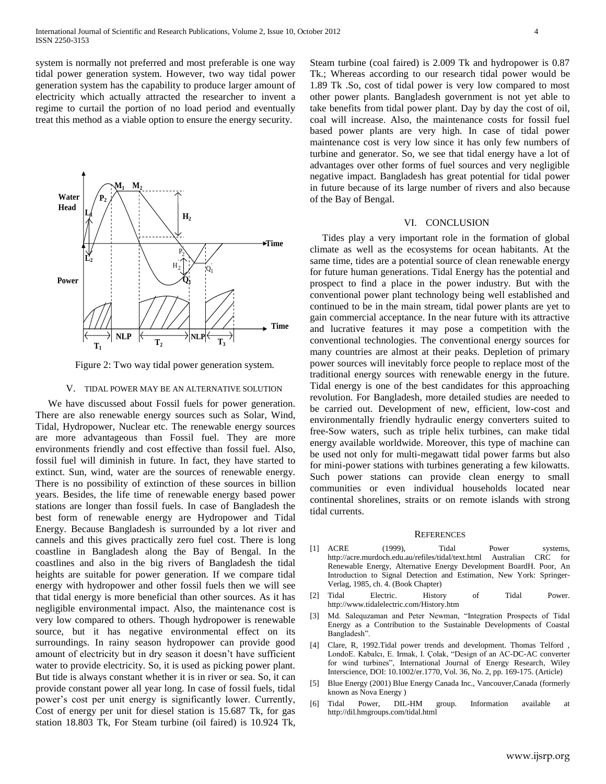system is normally not preferred and most preferable is one way tidal power generation system. However, two way tidal power generation system has the capability to produce larger amount of electricity which actually attracted the researcher to invent a regime to curtail the portion of no load period and eventually treat this method as a viable option to ensure the energy security.



Figure 2: Two way tidal power generation system.

#### V. TIDAL POWER MAY BE AN ALTERNATIVE SOLUTION

 We have discussed about Fossil fuels for power generation. There are also renewable energy sources such as Solar, Wind, Tidal, Hydropower, Nuclear etc. The renewable energy sources are more advantageous than Fossil fuel. They are more environments friendly and cost effective than fossil fuel. Also, fossil fuel will diminish in future. In fact, they have started to extinct. Sun, wind, water are the sources of renewable energy. There is no possibility of extinction of these sources in billion years. Besides, the life time of renewable energy based power stations are longer than fossil fuels. In case of Bangladesh the best form of renewable energy are Hydropower and Tidal Energy. Because Bangladesh is surrounded by a lot river and cannels and this gives practically zero fuel cost. There is long coastline in Bangladesh along the Bay of Bengal. In the coastlines and also in the big rivers of Bangladesh the tidal heights are suitable for power generation. If we compare tidal energy with hydropower and other fossil fuels then we will see that tidal energy is more beneficial than other sources. As it has negligible environmental impact. Also, the maintenance cost is very low compared to others. Though hydropower is renewable source, but it has negative environmental effect on its surroundings. In rainy season hydropower can provide good amount of electricity but in dry season it doesn't have sufficient water to provide electricity. So, it is used as picking power plant. But tide is always constant whether it is in river or sea. So, it can provide constant power all year long. In case of fossil fuels, tidal power's cost per unit energy is significantly lower. Currently, Cost of energy per unit for diesel station is 15.687 Tk, for gas station 18.803 Tk, For Steam turbine (oil faired) is 10.924 Tk,

Steam turbine (coal faired) is 2.009 Tk and hydropower is 0.87 Tk.; Whereas according to our research tidal power would be 1.89 Tk .So, cost of tidal power is very low compared to most other power plants. Bangladesh government is not yet able to take benefits from tidal power plant. Day by day the cost of oil, coal will increase. Also, the maintenance costs for fossil fuel based power plants are very high. In case of tidal power maintenance cost is very low since it has only few numbers of turbine and generator. So, we see that tidal energy have a lot of advantages over other forms of fuel sources and very negligible negative impact. Bangladesh has great potential for tidal power in future because of its large number of rivers and also because of the Bay of Bengal.

## VI. CONCLUSION

 Tides play a very important role in the formation of global climate as well as the ecosystems for ocean habitants. At the same time, tides are a potential source of clean renewable energy for future human generations. Tidal Energy has the potential and prospect to find a place in the power industry. But with the conventional power plant technology being well established and continued to be in the main stream, tidal power plants are yet to gain commercial acceptance. In the near future with its attractive and lucrative features it may pose a competition with the conventional technologies. The conventional energy sources for many countries are almost at their peaks. Depletion of primary power sources will inevitably force people to replace most of the traditional energy sources with renewable energy in the future. Tidal energy is one of the best candidates for this approaching revolution. For Bangladesh, more detailed studies are needed to be carried out. Development of new, efficient, low-cost and environmentally friendly hydraulic energy converters suited to free-Sow waters, such as triple helix turbines, can make tidal energy available worldwide. Moreover, this type of machine can be used not only for multi-megawatt tidal power farms but also for mini-power stations with turbines generating a few kilowatts. Such power stations can provide clean energy to small communities or even individual households located near continental shorelines, straits or on remote islands with strong tidal currents.

### **REFERENCES**

- [1] ACRE (1999), Tidal Power systems,<br>http://acre.murdoch.edu.au/refiles/tidal/text.html Australian CRC for <http://acre.murdoch.edu.au/refiles/tidal/text.html> Australian Renewable Energy, Alternative Energy Development BoardH. Poor, An Introduction to Signal Detection and Estimation, New York: Springer-Verlag, 1985, ch. 4. (Book Chapter)
- [2] Tidal Electric. History of Tidal Power. http://www.tidalelectric.com/History.htm
- [3] Md. Salequzaman and Peter Newman, "Integration Prospects of Tidal Energy as a Contribution to the Sustainable Developments of Coastal Bangladesh".
- [4] Clare, R, 1992.Tidal power trends and development. Thomas Telford , LondoE. Kabalcı, E. Irmak, I. Çolak, "Design of an AC-DC-AC converter for wind turbines", International Journal of Energy Research, Wiley Interscience, DOI: 10.1002/er.1770, Vol. 36, No. 2, pp. 169-175. (Article)
- [5] Blue Energy (2001) Blue Energy Canada Inc., Vancouver,Canada (formerly known as Nova Energy )
- [6] Tidal Power, DIL-HM group. Information available at <http://dil.hmgroups.com/tidal.html>